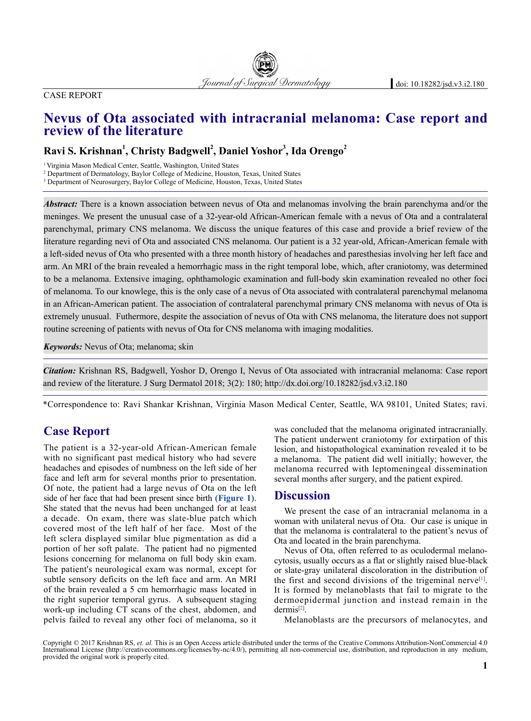#### Case Report

# **Nevus of Ota associated with intracranial melanoma: Case report and review of the literature**

## $\bold{R}$ avi S. Krishnan<sup>1</sup>, Christy Badgwell<sup>2</sup>, Daniel Yoshor<sup>3</sup>, Ida Orengo<sup>2</sup>

1 Virginia Mason Medical Center, Seattle, Washington, United States

2 Department of Dermatology, Baylor College of Medicine, Houston, Texas, United States

<sup>3</sup> Department of Neurosurgery, Baylor College of Medicine, Houston, Texas, United States

*Abstract:* There is a known association between nevus of Ota and melanomas involving the brain parenchyma and/or the meninges. We present the unusual case of a 32-year-old African-American female with a nevus of Ota and a contralateral parenchymal, primary CNS melanoma. We discuss the unique features of this case and provide a brief review of the literature regarding nevi of Ota and associated CNS melanoma. Our patient is a 32 year-old, African-American female with a left-sided nevus of Ota who presented with a three month history of headaches and paresthesias involving her left face and arm. An MRI of the brain revealed a hemorrhagic mass in the right temporal lobe, which, after craniotomy, was determined to be a melanoma. Extensive imaging, ophthamologic examination and full-body skin examination revealed no other foci of melanoma. To our knowlege, this is the only case of a nevus of Ota associated with contralateral parenchymal melanoma in an African-American patient. The association of contralateral parenchymal primary CNS melanoma with nevus of Ota is extremely unusual. Futhermore, despite the association of nevus of Ota with CNS melanoma, the literature does not support routine screening of patients with nevus of Ota for CNS melanoma with imaging modalities.

*Keywords:* Nevus of Ota; melanoma; skin

*Citation:* Krishnan RS, Badgwell, Yoshor D, Orengo I, Nevus of Ota associated with intracranial melanoma: Case report and review of the literature. J Surg Dermatol 2018; 3(2): 180; http://dx.doi.org/10.18282/jsd.v3.i2.180

\*Correspondence to: Ravi Shankar Krishnan, Virginia Mason Medical Center, Seattle, WA 98101, United States; ravi.

## **Case Report**

The patient is a 32-year-old African-American female with no significant past medical history who had severe headaches and episodes of numbness on the left side of her face and left arm for several months prior to presentation. Of note, the patient had a large nevus of Ota on the left side of her face that had been present since birth (**Figure 1**). She stated that the nevus had been unchanged for at least a decade. On exam, there was slate-blue patch which covered most of the left half of her face. Most of the left sclera displayed similar blue pigmentation as did a portion of her soft palate. The patient had no pigmented lesions concerning for melanoma on full body skin exam. The patient's neurological exam was normal, except for subtle sensory deficits on the left face and arm. An MRI of the brain revealed a 5 cm hemorrhagic mass located in the right superior temporal gyrus. A subsequent staging work-up including CT scans of the chest, abdomen, and pelvis failed to reveal any other foci of melanoma, so it

was concluded that the melanoma originated intracranially. The patient underwent craniotomy for extirpation of this lesion, and histopathological examination revealed it to be a melanoma. The patient did well initially; however, the melanoma recurred with leptomeningeal dissemination several months after surgery, and the patient expired.

#### **Discussion**

We present the case of an intracranial melanoma in a woman with unilateral nevus of Ota. Our case is unique in that the melanoma is contralateral to the patient's nevus of Ota and located in the brain parenchyma.

Nevus of Ota, often referred to as oculodermal melanocytosis, usually occurs as a flat or slightly raised blue-black or slate-gray unilateral discoloration in the distribution of the first and second divisions of the trigeminal nerve<sup>[1]</sup>. It is formed by melanoblasts that fail to migrate to the dermoepidermal junction and instead remain in the  $d$ ermis<sup>[2]</sup>.

Melanoblasts are the precursors of melanocytes, and

Copyright © 2017 Krishnan RS, *et. al.* This is an Open Access article distributed under the terms of the Creative Commons Attribution-NonCommercial 4.0 International License (http://creativecommons.org/licenses/by-nc/4.0/), permitting all non-commercial use, distribution, and reproduction in any medium, provided the original work is properly cited.